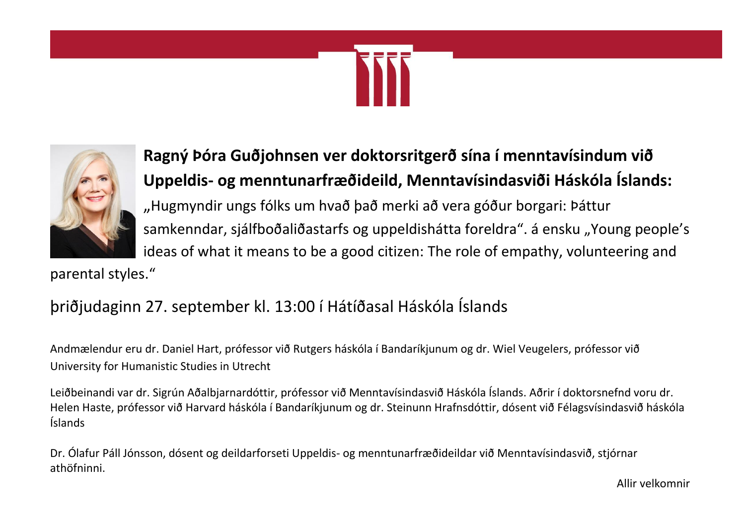



# **Ragný Þóra Guðjohnsen ver doktorsritgerð sína í menntavísindum við Uppeldis- og menntunarfræðideild, Menntavísindasviði Háskóla Íslands:** "Hugmyndir ungs fólks um hvað það merki að vera góður borgari: Þáttur samkenndar, sjálfboðaliðastarfs og uppeldishátta foreldra". á ensku "Young people's ideas of what it means to be a good citizen: The role of empathy, volunteering and

parental styles."

## þriðjudaginn 27. september kl. 13:00 í Hátíðasal Háskóla Íslands

Andmælendur eru dr. Daniel Hart, prófessor við Rutgers háskóla í Bandaríkjunum og dr. Wiel Veugelers, prófessor við University for Humanistic Studies in Utrecht

Leiðbeinandi var dr. Sigrún Aðalbjarnardóttir, prófessor við Menntavísindasvið Háskóla Íslands. Aðrir í doktorsnefnd voru dr. Helen Haste, prófessor við Harvard háskóla í Bandaríkjunum og dr. Steinunn Hrafnsdóttir, dósent við Félagsvísindasvið háskóla Íslands

Dr. Ólafur Páll Jónsson, dósent og deildarforseti Uppeldis- og menntunarfræðideildar við Menntavísindasvið, stjórnar athöfninni.

Allir velkomnir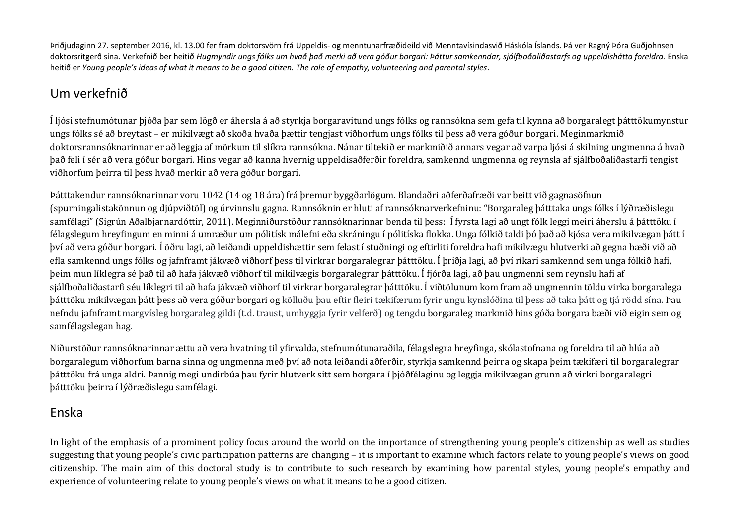Þriðjudaginn 27. september 2016, kl. 13.00 fer fram doktorsvörn frá Uppeldis- og menntunarfræðideild við Menntavísindasvið Háskóla Íslands. Þá ver Ragný Þóra Guðjohnsen doktorsritgerð sína. Verkefnið ber heitið *Hugmyndir ungs fólks um hvað það merki að vera góður borgari: Þáttur samkenndar, sjálfboðaliðastarfs og uppeldishátta foreldra*. Enska heitið er *Young people's ideas of what it means to be a good citizen. The role of empathy, volunteering and parental styles.*

### Um verkefnið

Í ljósi stefnumótunar þjóða þar sem lögð er áhersla á að styrkja borgaravitund ungs fólks og rannsókna sem gefa til kynna að borgaralegt þátttökumynstur ungs fólks sé að breytast – er mikilvægt að skoða hvaða þættir tengjast viðhorfum ungs fólks til þess að vera góður borgari. Meginmarkmið doktorsrannsóknarinnar er að leggja af mörkum til slíkra rannsókna. Nánar tiltekið er markmiðið annars vegar að varpa ljósi á skilning ungmenna á hvað það feli í sér að vera góður borgari. Hins vegar að kanna hvernig uppeldisaðferðir foreldra, samkennd ungmenna og reynsla af sjálfboðaliðastarfi tengist viðhorfum þeirra til þess hvað merkir að vera góður borgari.

Þátttakendur rannsóknarinnar voru 1042 (14 og 18 ára) frá þremur byggðarlögum. Blandaðri aðferðafræði var beitt við gagnasöfnun (spurningalistakönnun og djúpviðtöl) og úrvinnslu gagna. Rannsóknin er hluti af rannsóknarverkefninu: "Borgaraleg þátttaka ungs fólks í lýðræðislegu samfélagi" (Sigrún Aðalbjarnardóttir, 2011). Meginniðurstöður rannsóknarinnar benda til þess: Í fyrsta lagi að ungt fólk leggi meiri áherslu á þátttöku í félagslegum hreyfingum en minni á umræður um pólitísk málefni eða skráningu í pólitíska flokka. Unga fólkið taldi þó það að kjósa vera mikilvægan þátt í því að vera góður borgari. Í öðru lagi, að leiðandi uppeldishættir sem felast í stuðningi og eftirliti foreldra hafi mikilvægu hlutverki að gegna bæði við að efla samkennd ungs fólks og jafnframt jákvæð viðhorf þess til virkrar borgaralegrar þátttöku. Í þriðja lagi, að því ríkari samkennd sem unga fólkið hafi, þeim mun líklegra sé það til að hafa jákvæð viðhorf til mikilvægis borgaralegrar þátttöku. Í fjórða lagi, að þau ungmenni sem reynslu hafi af sjálfboðaliðastarfi séu líklegri til að hafa jákvæð viðhorf til virkrar borgaralegrar þátttöku. Í viðtölunum kom fram að ungmennin töldu virka borgaralega þátttöku mikilvægan þátt þess að vera góður borgari og kölluðu þau eftir fleiri tækifærum fyrir ungu kynslóðina til þess að taka þátt og tjá rödd sína. Þau nefndu jafnframt margvísleg borgaraleg gildi (t.d. traust, umhyggja fyrir velferð) og tengdu borgaraleg markmið hins góða borgara bæði við eigin sem og samfélagslegan hag.

Niðurstöður rannsóknarinnar ættu að vera hvatning til yfirvalda, stefnumótunaraðila, félagslegra hreyfinga, skólastofnana og foreldra til að hlúa að borgaralegum viðhorfum barna sinna og ungmenna með því að nota leiðandi aðferðir, styrkja samkennd þeirra og skapa þeim tækifæri til borgaralegrar þátttöku frá unga aldri. Þannig megi undirbúa þau fyrir hlutverk sitt sem borgara í þjóðfélaginu og leggja mikilvægan grunn að virkri borgaralegri þátttöku þeirra í lýðræðislegu samfélagi.

#### Enska

In light of the emphasis of a prominent policy focus around the world on the importance of strengthening young people's citizenship as well as studies suggesting that young people's civic participation patterns are changing – it is important to examine which factors relate to young people's views on good citizenship. The main aim of this doctoral study is to contribute to such research by examining how parental styles, young people's empathy and experience of volunteering relate to young people's views on what it means to be a good citizen.